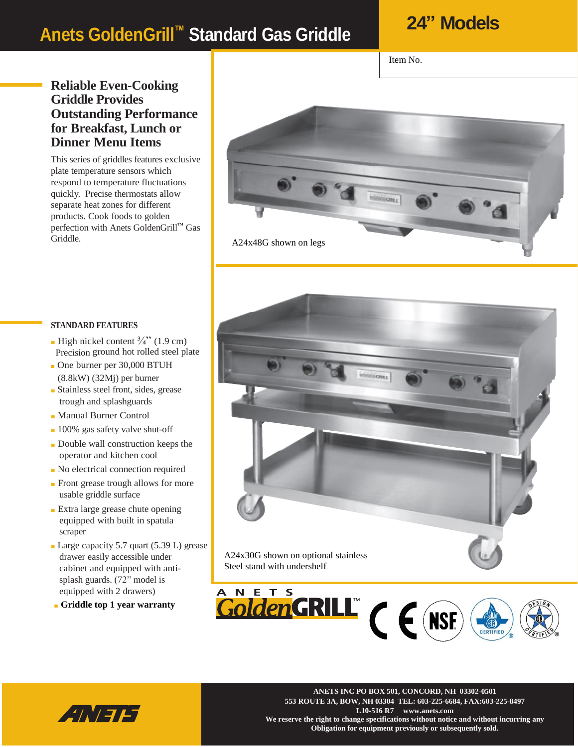### **Anets GoldenGrill™ Standard Gas Griddle**

### **24" Models**

Item No.

#### **Reliable Even-Cooking Griddle Provides Outstanding Performance for Breakfast, Lunch or Dinner Menu Items**

This series of griddles features exclusive plate temperature sensors which respond to temperature fluctuations quickly. Precise thermostats allow separate heat zones for different products. Cook foods to golden perfection with Anets GoldenGrill™ Gas Griddle.



#### **STANDARD FEATURES**

- High nickel content  $\frac{3}{4}$ " (1.9 cm) Precision ground hot rolled steel plate
- One burner per 30,000 BTUH (8.8kW) (32Mj) per burner
- Stainless steel front, sides, grease trough and splashguards
- Manual Burner Control
- 100% gas safety valve shut-off
- Double wall construction keeps the operator and kitchen cool
- No electrical connection required
- Front grease trough allows for more usable griddle surface
- Extra large grease chute opening equipped with built in spatula scraper
- Large capacity 5.7 quart (5.39 L) grease drawer easily accessible under cabinet and equipped with antisplash guards. (72" model is equipped with 2 drawers)
- **Griddle top 1 year warranty**



A24x30G shown on optional stainless Steel stand with undershelf





**NETS INC PO BOX 501, Concord, NH 03302-0501 ANETS INC PO BOX 501, CONCORD, NH 03302-0501 553 ROUTE 3A, BOW, NH 03304 TEL: 603-225-6684, FAX:603-225-8497 L10-516 R7 www.anets.com We reserve the right to change specifications without notice and without incurring any Obligation for equipment previously or subsequently sold.**